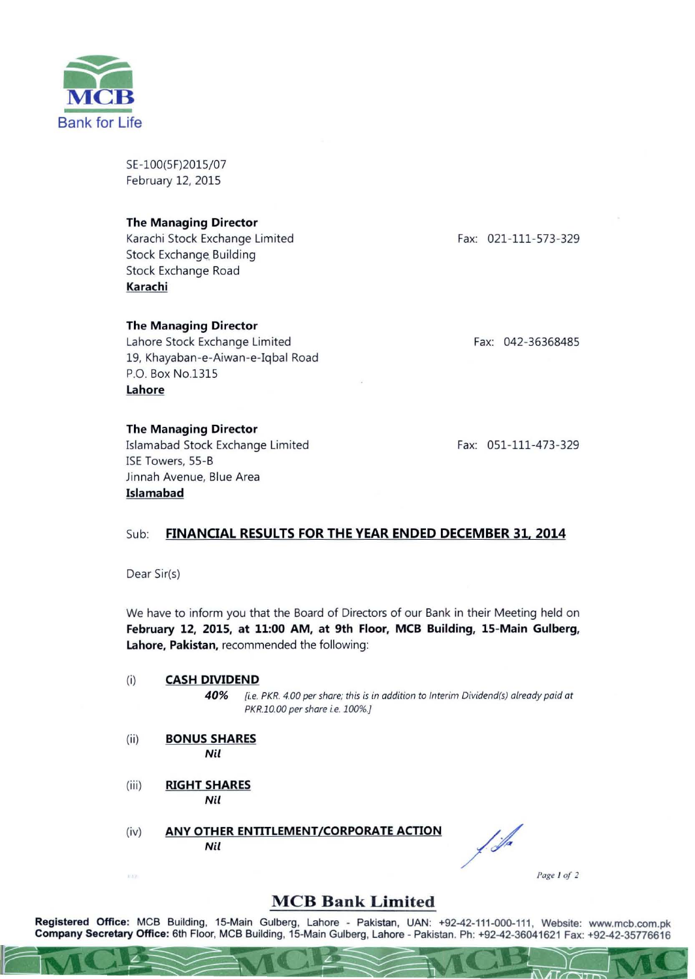

SE-100(5F)2015/07 February 12, 2015

#### The Managing Director

Karachi Stock Exchange Limited Stock Exchange Building Stock Exchange Road Karachi

### The Managing Director

Lahore Stock Exchange Limited 19, Khayaban-e-Aiwan-e-Iqbal Road P.O. Box No.1315 Lahore

The Managing Director Islamabad Stock Exchange Limited ISE Towers, 55-B Jinnah Avenue, Blue Area Islamabad

Fax: 021-111-573-329

Fax: 042-36368485

Fax: 051-111-473-329

### Sub: FINANCIAL RESULTS FOR THE YEAR ENDED DECEMBER 31, 2014

Dear Sir(s)

We have to inform you that the Board of Directors of our Bank in their Meeting held on February 12, 201S, at 11:00 AM, at 9th Floor, MCB Building, IS-Main Gulberg, Lahore, Pakistan, recommended the following:

(i) CASH DIVIDEND

**40%** *[i.e.* PKR. 4.00 *per share; this is in addition to Interim Dividend(s) already paid at*  PKR.10.00 per share i.e. 100%.]

- (ii) BONUS SHARES *Nil*
- (iii) RIGHT SHARES *Nil*

302

(iv) ANY OTHER ENTITLEMENT/CORPORATE ACTION *Nil* 

**c** 

f fa

*Page I of 2* 

## **MCB Bank Limited**

Registered Office: MCB Building, 15-Main Gulberg, Lahore - Pakistan, UAN: +92-42-111-000-111, Website: www.mcb.com.pk Company Secretary Office: 6th Floor, MCB Building, 15-Main Gulberg, Lahore - Pakistan. Ph: +92-42-36041621 Fax: +92-42-35776616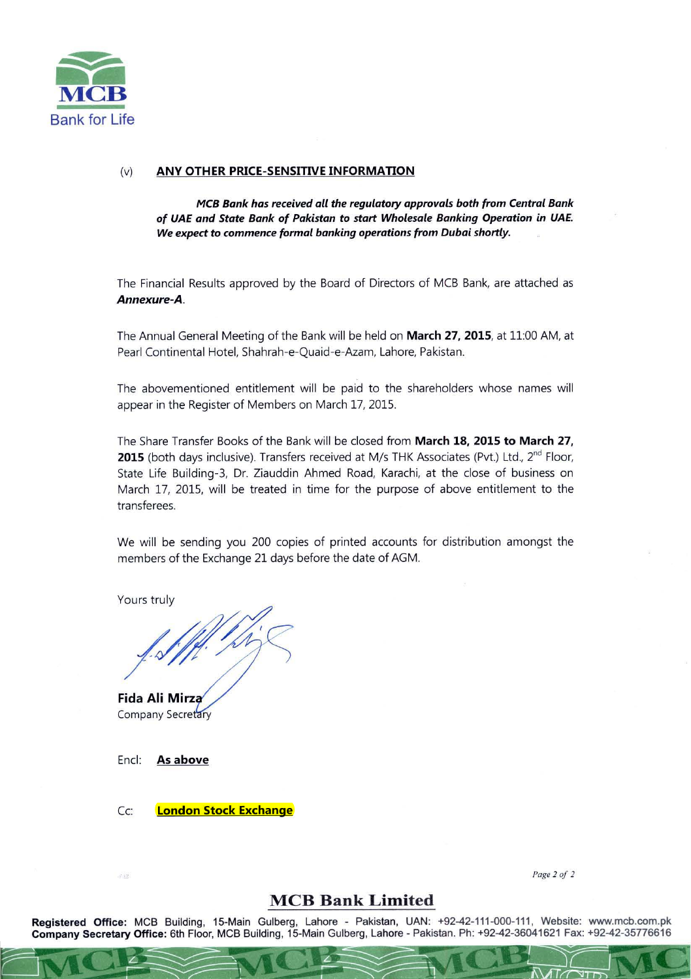

#### (v) **ANY OTHER PRICE-SENSITIVE INFORMATION**

*MCB Bank has received all the regulatory approvals both from Central Bank of UAE and State Bank of Pakistan* **to** *start Wholesale Banking Operation in UAE. We expect* **to** *commence formal banking operations from Dubai shortly.* 

The Financial Results approved by the Board of Directors of MCB Bank, are attached as *Annexure-A.* 

The Annual General Meeting of the Bank will be held on **March 27, 2015**, at 11:00 AM, at Pearl Continental Hotel, Shahrah-e-Quaid-e-Azam, Lahore, Pakistan.

The abovementioned entitlement will be paid to the shareholders whose names will appear in the Register of Members on March 17, 2015.

The Share Transfer Books of the Bank will be closed from March 18, 2015 to March 27, 2015 (both days inclusive). Transfers received at M/s THK Associates (Pvt.) Ltd., 2<sup>nd</sup> Floor, State Life Building-3, Dr. Ziauddin Ahmed Road, Karachi, at the close of business on March 17, 2015, will be treated in time for the purpose of above entitlement to the transferees.

We will be sending you 200 copies of printed accounts for distribution amongst the members of the Exchange 21 days before the date of AGM.

Yours truly

ours truly<br>/.s////./////

**Company Secretary** 

Encl: **As above** 

Cc: **London Stock Exchange** 

*Page 2 0f 2* 

# **MCB Bank Limited**

**Registered Office:** MCB Building, 15-Main Gulberg, Lahore - Pakistan, UAN: +92-42-111-000-111, Website: www.mcb.com.pk **Company Secretary Office:** 6th Floor, MCB Building, 15-Main Gulberg, Lahore - Pakistan. Ph: +92-42-36041621 Fax: +92-42-35776616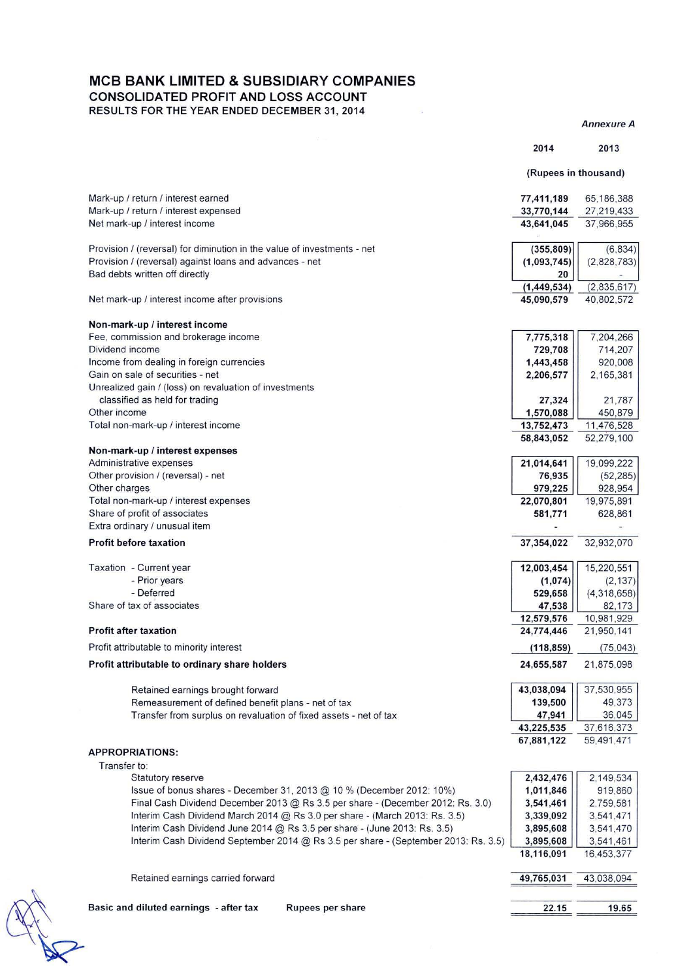## MCB BANK LIMITED & SUBSIDIARY COMPANIES

CONSOLIDATED PROFIT AND LOSS ACCOUNT RESULTS FOR THE YEAR ENDED DECEMBER 31 , 2014

 $\frac{1}{2}$ 

*Annexure A* 

 $\sim$ 

|                                                                                                                                                            | 2014                   | 2013                     |
|------------------------------------------------------------------------------------------------------------------------------------------------------------|------------------------|--------------------------|
|                                                                                                                                                            | (Rupees in thousand)   |                          |
|                                                                                                                                                            |                        |                          |
| Mark-up / return / interest earned                                                                                                                         | 77,411,189             | 65,186,388               |
| Mark-up / return / interest expensed                                                                                                                       | 33,770,144             | 27,219,433               |
| Net mark-up / interest income                                                                                                                              | 43,641,045             | 37,966,955               |
|                                                                                                                                                            |                        |                          |
| Provision / (reversal) for diminution in the value of investments - net                                                                                    | (355, 809)             | (6, 834)                 |
| Provision / (reversal) against loans and advances - net<br>Bad debts written off directly                                                                  | (1,093,745)<br>20      | (2,828,783)              |
|                                                                                                                                                            | (1, 449, 534)          | (2,835,617)              |
| Net mark-up / interest income after provisions                                                                                                             | 45,090,579             | 40,802,572               |
|                                                                                                                                                            |                        |                          |
| Non-mark-up / interest income                                                                                                                              |                        |                          |
| Fee, commission and brokerage income                                                                                                                       | 7,775,318              | 7,204,266                |
| Dividend income                                                                                                                                            | 729,708                | 714,207                  |
| Income from dealing in foreign currencies                                                                                                                  | 1,443,458              | 920,008                  |
| Gain on sale of securities - net                                                                                                                           | 2,206,577              | 2,165,381                |
| Unrealized gain / (loss) on revaluation of investments                                                                                                     |                        |                          |
| classified as held for trading<br>Other income                                                                                                             | 27,324                 | 21,787                   |
|                                                                                                                                                            | 1,570,088              | 450,879                  |
| Total non-mark-up / interest income                                                                                                                        | 13,752,473             | 11,476,528<br>52,279,100 |
| Non-mark-up / interest expenses                                                                                                                            | 58,843,052             |                          |
| Administrative expenses                                                                                                                                    | 21,014,641             | 19,099,222               |
| Other provision / (reversal) - net                                                                                                                         | 76,935                 | (52, 285)                |
| Other charges                                                                                                                                              | 979,225                | 928,954                  |
| Total non-mark-up / interest expenses                                                                                                                      | 22,070,801             | 19,975,891               |
| Share of profit of associates                                                                                                                              | 581,771                | 628,861                  |
| Extra ordinary / unusual item                                                                                                                              |                        |                          |
| <b>Profit before taxation</b>                                                                                                                              | 37,354,022             | 32,932,070               |
| Taxation - Current year                                                                                                                                    | 12,003,454             | 15,220,551               |
| - Prior years                                                                                                                                              | (1,074)                | (2, 137)                 |
| - Deferred                                                                                                                                                 | 529,658                | (4,318,658)              |
| Share of tax of associates                                                                                                                                 | 47,538                 | 82,173                   |
|                                                                                                                                                            | 12,579,576             | 10,981,929               |
| <b>Profit after taxation</b>                                                                                                                               | 24,774,446             | 21,950,141               |
| Profit attributable to minority interest                                                                                                                   | (118, 859)             | (75, 043)                |
| Profit attributable to ordinary share holders                                                                                                              | 24,655,587             | 21,875,098               |
| Retained earnings brought forward                                                                                                                          | 43,038,094             | 37,530,955               |
| Remeasurement of defined benefit plans - net of tax                                                                                                        | 139,500                | 49,373                   |
| Transfer from surplus on revaluation of fixed assets - net of tax                                                                                          | 47,941                 | 36,045                   |
|                                                                                                                                                            | 43,225,535             | 37,616,373               |
|                                                                                                                                                            | 67,881,122             | 59,491,471               |
| <b>APPROPRIATIONS:</b>                                                                                                                                     |                        |                          |
| Transfer to:                                                                                                                                               |                        |                          |
| Statutory reserve                                                                                                                                          | 2,432,476              | 2,149,534                |
| Issue of bonus shares - December 31, 2013 $@$ 10 % (December 2012: 10%)<br>Final Cash Dividend December 2013 @ Rs 3.5 per share - (December 2012: Rs. 3.0) | 1,011,846<br>3,541,461 | 919,860<br>2,759,581     |
| Interim Cash Dividend March 2014 @ Rs 3.0 per share - (March 2013: Rs. 3.5)                                                                                | 3,339,092              | 3,541,471                |
| Interim Cash Dividend June 2014 @ Rs 3.5 per share - (June 2013: Rs. 3.5)                                                                                  | 3,895,608              | 3,541,470                |
| Interim Cash Dividend September 2014 @ Rs 3.5 per share - (September 2013: Rs. 3.5)                                                                        | 3,895,608              | 3,541,461                |
|                                                                                                                                                            | 18,116,091             | 16,453,377               |
|                                                                                                                                                            |                        |                          |
| Retained earnings carried forward                                                                                                                          | 49,765,031             | 43,038,094               |
|                                                                                                                                                            |                        |                          |
| Basic and diluted earnings - after tax<br>Rupees per share                                                                                                 | 22.15                  | 19.65                    |